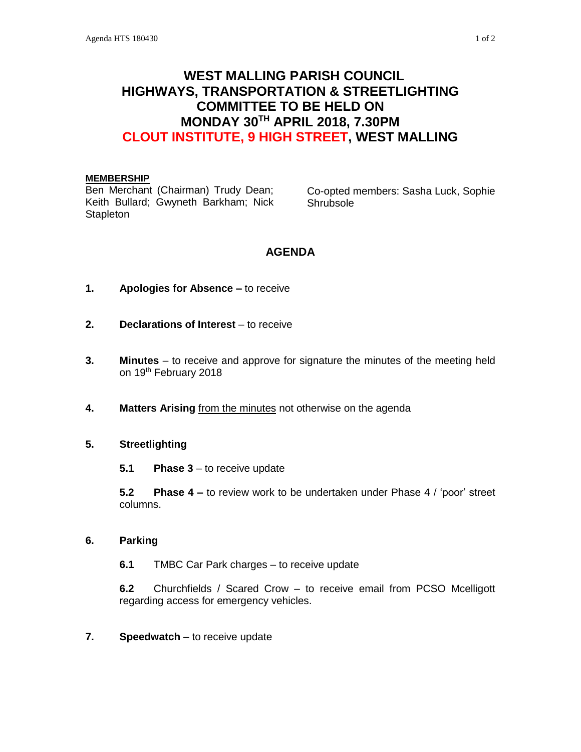# **WEST MALLING PARISH COUNCIL HIGHWAYS, TRANSPORTATION & STREETLIGHTING COMMITTEE TO BE HELD ON MONDAY 30TH APRIL 2018, 7.30PM CLOUT INSTITUTE, 9 HIGH STREET, WEST MALLING**

#### **MEMBERSHIP**

Ben Merchant (Chairman) Trudy Dean; Keith Bullard; Gwyneth Barkham; Nick **Stapleton** 

Co-opted members: Sasha Luck, Sophie Shrubsole

# **AGENDA**

- **1. Apologies for Absence –** to receive
- **2. Declarations of Interest** to receive
- **3. Minutes**  to receive and approve for signature the minutes of the meeting held on 19<sup>th</sup> February 2018
- **4. Matters Arising** from the minutes not otherwise on the agenda

### **5. Streetlighting**

**5.1 Phase 3** – to receive update

**5.2 Phase 4 –** to review work to be undertaken under Phase 4 / 'poor' street columns.

#### **6. Parking**

**6.1** TMBC Car Park charges – to receive update

**6.2** Churchfields / Scared Crow – to receive email from PCSO Mcelligott regarding access for emergency vehicles.

**7. Speedwatch** – to receive update